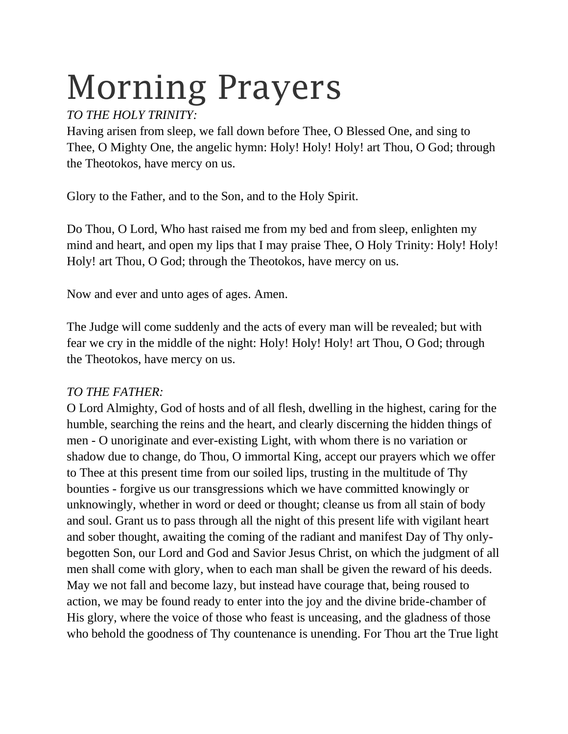# Morning Prayers

## *TO THE HOLY TRINITY:*

Having arisen from sleep, we fall down before Thee, O Blessed One, and sing to Thee, O Mighty One, the angelic hymn: Holy! Holy! Holy! art Thou, O God; through the Theotokos, have mercy on us.

Glory to the Father, and to the Son, and to the Holy Spirit.

Do Thou, O Lord, Who hast raised me from my bed and from sleep, enlighten my mind and heart, and open my lips that I may praise Thee, O Holy Trinity: Holy! Holy! Holy! art Thou, O God; through the Theotokos, have mercy on us.

Now and ever and unto ages of ages. Amen.

The Judge will come suddenly and the acts of every man will be revealed; but with fear we cry in the middle of the night: Holy! Holy! Holy! art Thou, O God; through the Theotokos, have mercy on us.

## *TO THE FATHER:*

O Lord Almighty, God of hosts and of all flesh, dwelling in the highest, caring for the humble, searching the reins and the heart, and clearly discerning the hidden things of men - O unoriginate and ever-existing Light, with whom there is no variation or shadow due to change, do Thou, O immortal King, accept our prayers which we offer to Thee at this present time from our soiled lips, trusting in the multitude of Thy bounties - forgive us our transgressions which we have committed knowingly or unknowingly, whether in word or deed or thought; cleanse us from all stain of body and soul. Grant us to pass through all the night of this present life with vigilant heart and sober thought, awaiting the coming of the radiant and manifest Day of Thy onlybegotten Son, our Lord and God and Savior Jesus Christ, on which the judgment of all men shall come with glory, when to each man shall be given the reward of his deeds. May we not fall and become lazy, but instead have courage that, being roused to action, we may be found ready to enter into the joy and the divine bride-chamber of His glory, where the voice of those who feast is unceasing, and the gladness of those who behold the goodness of Thy countenance is unending. For Thou art the True light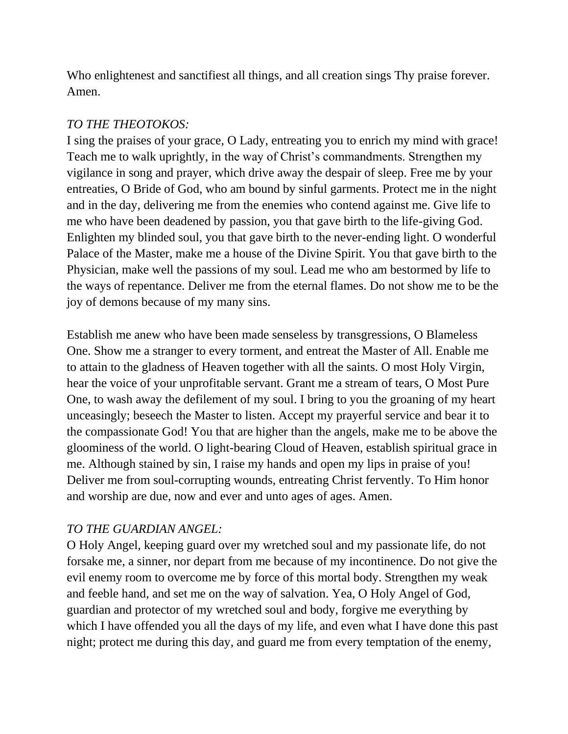Who enlightenest and sanctifiest all things, and all creation sings Thy praise forever. Amen.

#### *TO THE THEOTOKOS:*

I sing the praises of your grace, O Lady, entreating you to enrich my mind with grace! Teach me to walk uprightly, in the way of Christ's commandments. Strengthen my vigilance in song and prayer, which drive away the despair of sleep. Free me by your entreaties, O Bride of God, who am bound by sinful garments. Protect me in the night and in the day, delivering me from the enemies who contend against me. Give life to me who have been deadened by passion, you that gave birth to the life-giving God. Enlighten my blinded soul, you that gave birth to the never-ending light. O wonderful Palace of the Master, make me a house of the Divine Spirit. You that gave birth to the Physician, make well the passions of my soul. Lead me who am bestormed by life to the ways of repentance. Deliver me from the eternal flames. Do not show me to be the joy of demons because of my many sins.

Establish me anew who have been made senseless by transgressions, O Blameless One. Show me a stranger to every torment, and entreat the Master of All. Enable me to attain to the gladness of Heaven together with all the saints. O most Holy Virgin, hear the voice of your unprofitable servant. Grant me a stream of tears, O Most Pure One, to wash away the defilement of my soul. I bring to you the groaning of my heart unceasingly; beseech the Master to listen. Accept my prayerful service and bear it to the compassionate God! You that are higher than the angels, make me to be above the gloominess of the world. O light-bearing Cloud of Heaven, establish spiritual grace in me. Although stained by sin, I raise my hands and open my lips in praise of you! Deliver me from soul-corrupting wounds, entreating Christ fervently. To Him honor and worship are due, now and ever and unto ages of ages. Amen.

#### *TO THE GUARDIAN ANGEL:*

O Holy Angel, keeping guard over my wretched soul and my passionate life, do not forsake me, a sinner, nor depart from me because of my incontinence. Do not give the evil enemy room to overcome me by force of this mortal body. Strengthen my weak and feeble hand, and set me on the way of salvation. Yea, O Holy Angel of God, guardian and protector of my wretched soul and body, forgive me everything by which I have offended you all the days of my life, and even what I have done this past night; protect me during this day, and guard me from every temptation of the enemy,